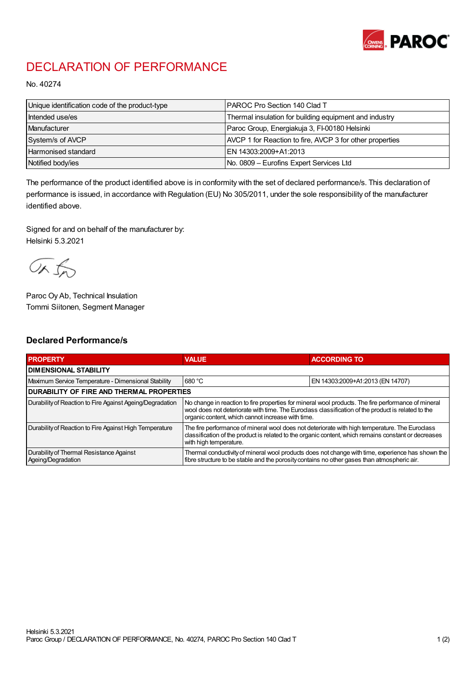

## DECLARATION OF PERFORMANCE

No. 40274

| Unique identification code of the product-type | I PAROC Pro Section 140 Clad T                           |
|------------------------------------------------|----------------------------------------------------------|
| Intended use/es                                | Thermal insulation for building equipment and industry   |
| Manufacturer                                   | Paroc Group, Energiakuja 3, FI-00180 Helsinki            |
| System/s of AVCP                               | AVCP 1 for Reaction to fire, AVCP 3 for other properties |
| <b>Harmonised standard</b>                     | EN 14303:2009+A1:2013                                    |
| Notified body/ies                              | No. 0809 – Eurofins Expert Services Ltd                  |

The performance of the product identified above is in conformity with the set of declared performance/s. This declaration of performance is issued, in accordance with Regulation (EU) No 305/2011, under the sole responsibility of the manufacturer identified above.

Signed for and on behalf of the manufacturer by: Helsinki 5.3.2021

ORJO

Paroc Oy Ab, Technical Insulation Tommi Siitonen, Segment Manager

## Declared Performance/s

| <b>PROPERTY</b>                                                | <b>VALUE</b>                                                                                                                                                                                                                                                   | <b>ACCORDING TO</b>              |  |
|----------------------------------------------------------------|----------------------------------------------------------------------------------------------------------------------------------------------------------------------------------------------------------------------------------------------------------------|----------------------------------|--|
| <b>I DIMENSIONAL STABILITY</b>                                 |                                                                                                                                                                                                                                                                |                                  |  |
| Maximum Service Temperature - Dimensional Stability            | 680 °C                                                                                                                                                                                                                                                         | EN 14303:2009+A1:2013 (EN 14707) |  |
| <b>DURABILITY OF FIRE AND THERMAL PROPERTIES</b>               |                                                                                                                                                                                                                                                                |                                  |  |
| Durability of Reaction to Fire Against Ageing/Degradation      | No change in reaction to fire properties for mineral wool products. The fire performance of mineral<br>wool does not deteriorate with time. The Euroclass classification of the product is related to the<br>organic content, which cannot increase with time. |                                  |  |
| Durability of Reaction to Fire Against High Temperature        | The fire performance of mineral wool does not deteriorate with high temperature. The Euroclass<br>classification of the product is related to the organic content, which remains constant or decreases<br>with high temperature.                               |                                  |  |
| Durability of Thermal Resistance Against<br>Ageing/Degradation | Thermal conductivity of mineral wool products does not change with time, experience has shown the<br>fibre structure to be stable and the porosity contains no other gases than atmospheric air.                                                               |                                  |  |